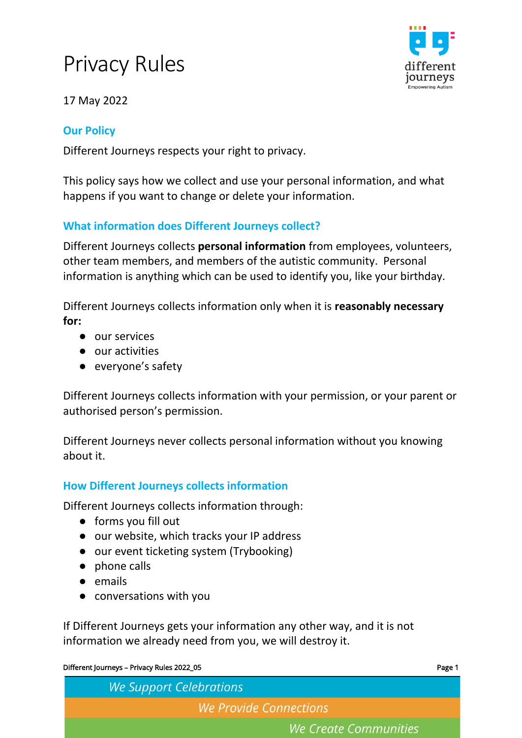# Privacy Rules



17 May 2022

# **Our Policy**

Different Journeys respects your right to privacy.

This policy says how we collect and use your personal information, and what happens if you want to change or delete your information.

# **What information does Different Journeys collect?**

Different Journeys collects **personal information** from employees, volunteers, other team members, and members of the autistic community. Personal information is anything which can be used to identify you, like your birthday.

Different Journeys collects information only when it is **reasonably necessary for:** 

- our services
- our activities
- everyone's safety

Different Journeys collects information with your permission, or your parent or authorised person's permission.

Different Journeys never collects personal information without you knowing about it.

# **How Different Journeys collects information**

Different Journeys collects information through:

- forms you fill out
- our website, which tracks your IP address
- our event ticketing system (Trybooking)
- phone calls
- emails
- conversations with you

If Different Journeys gets your information any other way, and it is not information we already need from you, we will destroy it.

#### Different Journeys – Privacy Rules 2022\_05 Page 1

| <b>We Support Celebrations</b> |  |  |  |
|--------------------------------|--|--|--|
| We Provide Connections         |  |  |  |
| We Create Communities          |  |  |  |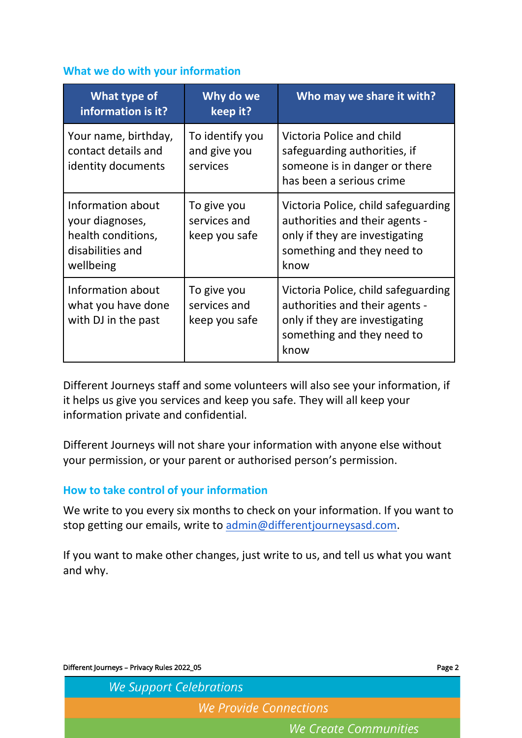### **What we do with your information**

| <b>What type of</b><br>information is it?                                                   | Why do we<br>keep it?                        | Who may we share it with?                                                                                                                     |
|---------------------------------------------------------------------------------------------|----------------------------------------------|-----------------------------------------------------------------------------------------------------------------------------------------------|
| Your name, birthday,<br>contact details and<br>identity documents                           | To identify you<br>and give you<br>services  | Victoria Police and child<br>safeguarding authorities, if<br>someone is in danger or there<br>has been a serious crime                        |
| Information about<br>your diagnoses,<br>health conditions,<br>disabilities and<br>wellbeing | To give you<br>services and<br>keep you safe | Victoria Police, child safeguarding<br>authorities and their agents -<br>only if they are investigating<br>something and they need to<br>know |
| Information about<br>what you have done<br>with DJ in the past                              | To give you<br>services and<br>keep you safe | Victoria Police, child safeguarding<br>authorities and their agents -<br>only if they are investigating<br>something and they need to<br>know |

Different Journeys staff and some volunteers will also see your information, if it helps us give you services and keep you safe. They will all keep your information private and confidential.

Different Journeys will not share your information with anyone else without your permission, or your parent or authorised person's permission.

## **How to take control of your information**

We write to you every six months to check on your information. If you want to stop getting our emails, write to [admin@differentjourneysasd.com.](mailto:admin@differentjourneysasd.com)

If you want to make other changes, just write to us, and tell us what you want and why.

| Different Journeys - Privacy Rules 2022_05 |                       |
|--------------------------------------------|-----------------------|
| <b>We Support Celebrations</b>             |                       |
| We Provide Connections                     |                       |
|                                            | We Create Communities |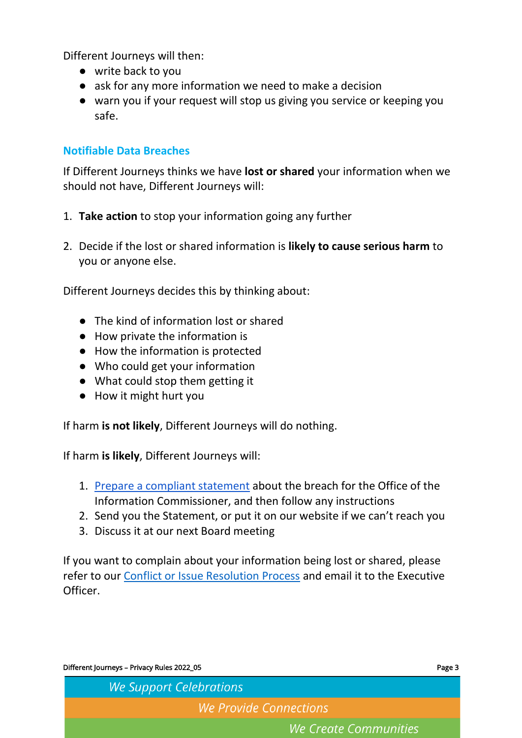Different Journeys will then:

- write back to you
- ask for any more information we need to make a decision
- warn you if your request will stop us giving you service or keeping you safe.

## **Notifiable Data Breaches**

If Different Journeys thinks we have **lost or shared** your information when we should not have, Different Journeys will:

- 1. **Take action** to stop your information going any further
- 2. Decide if the lost or shared information is **likely to cause serious harm** to you or anyone else.

Different Journeys decides this by thinking about:

- The kind of information lost or shared
- How private the information is
- How the information is protected
- Who could get your information
- What could stop them getting it
- How it might hurt you

If harm **is not likely**, Different Journeys will do nothing.

If harm **is likely**, Different Journeys will:

- 1. [Prepare a compliant statement](http://www5.austlii.edu.au/au/legis/cth/consol_act/pa1988108/s26wk.html) about the breach for the Office of the Information Commissioner, and then follow any instructions
- 2. Send you the Statement, or put it on our website if we can't reach you
- 3. Discuss it at our next Board meeting

If you want to complain about your information being lost or shared, please refer to our [Conflict or Issue Resolution Process](https://www.differentjourneysautism.com/wp-content/uploads/2022/04/Conflict-or-Issue-Resolution-Process-V3-2021-07-12.pdf) and email it to the Executive Officer.

| Different Journeys - Privacy Rules 2022_05 | Page 3 |
|--------------------------------------------|--------|
| <b>We Support Celebrations</b>             |        |
| We Provide Connections                     |        |
| We Create Communities                      |        |